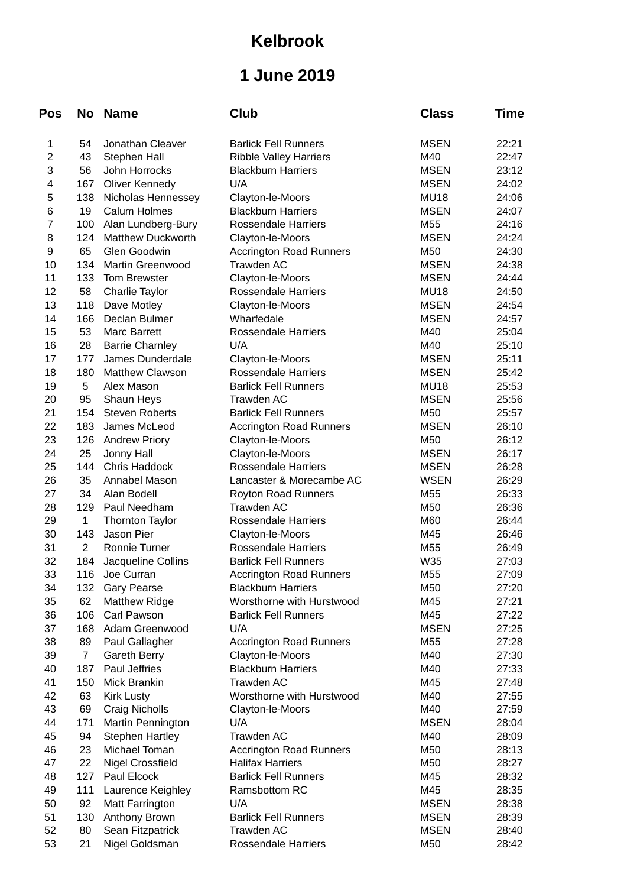## **Kelbrook**

## **1 June 2019**

| Pos                      | <b>No</b>      | <b>Name</b>              | Club                           | <b>Class</b> | Time  |
|--------------------------|----------------|--------------------------|--------------------------------|--------------|-------|
| 1                        | 54             | Jonathan Cleaver         | <b>Barlick Fell Runners</b>    | <b>MSEN</b>  | 22:21 |
| $\overline{c}$           | 43             | Stephen Hall             | Ribble Valley Harriers         | M40          | 22:47 |
| 3                        | 56             | John Horrocks            | <b>Blackburn Harriers</b>      | <b>MSEN</b>  | 23:12 |
| $\overline{\mathcal{L}}$ | 167            | Oliver Kennedy           | U/A                            | <b>MSEN</b>  | 24:02 |
| 5                        | 138            | Nicholas Hennessey       | Clayton-le-Moors               | <b>MU18</b>  | 24:06 |
| 6                        | 19             | <b>Calum Holmes</b>      | <b>Blackburn Harriers</b>      | <b>MSEN</b>  | 24:07 |
| $\overline{7}$           | 100            | Alan Lundberg-Bury       | Rossendale Harriers            | M55          | 24:16 |
| 8                        | 124            | <b>Matthew Duckworth</b> | Clayton-le-Moors               | <b>MSEN</b>  | 24:24 |
| 9                        | 65             | Glen Goodwin             | <b>Accrington Road Runners</b> | M50          | 24:30 |
| 10                       | 134            | Martin Greenwood         | <b>Trawden AC</b>              | <b>MSEN</b>  | 24:38 |
| 11                       | 133            | Tom Brewster             | Clayton-le-Moors               | <b>MSEN</b>  | 24:44 |
| 12                       | 58             | Charlie Taylor           | <b>Rossendale Harriers</b>     | <b>MU18</b>  | 24:50 |
| 13                       | 118            | Dave Motley              | Clayton-le-Moors               | <b>MSEN</b>  | 24:54 |
| 14                       | 166            | Declan Bulmer            | Wharfedale                     | <b>MSEN</b>  | 24:57 |
| 15                       | 53             | <b>Marc Barrett</b>      | Rossendale Harriers            | M40          | 25:04 |
| 16                       | 28             | <b>Barrie Charnley</b>   | U/A                            | M40          | 25:10 |
| 17                       | 177            | James Dunderdale         | Clayton-le-Moors               | <b>MSEN</b>  | 25:11 |
| 18                       | 180            | Matthew Clawson          | <b>Rossendale Harriers</b>     | <b>MSEN</b>  | 25:42 |
| 19                       | 5              | Alex Mason               | <b>Barlick Fell Runners</b>    | <b>MU18</b>  | 25:53 |
| 20                       | 95             | Shaun Heys               | Trawden AC                     | <b>MSEN</b>  | 25:56 |
| 21                       | 154            | <b>Steven Roberts</b>    | <b>Barlick Fell Runners</b>    | M50          | 25:57 |
| 22                       | 183            | James McLeod             | <b>Accrington Road Runners</b> | <b>MSEN</b>  | 26:10 |
| 23                       | 126            | <b>Andrew Priory</b>     | Clayton-le-Moors               | M50          | 26:12 |
| 24                       | 25             | Jonny Hall               | Clayton-le-Moors               | <b>MSEN</b>  | 26:17 |
| 25                       | 144            | Chris Haddock            | <b>Rossendale Harriers</b>     | <b>MSEN</b>  | 26:28 |
| 26                       | 35             | Annabel Mason            | Lancaster & Morecambe AC       | <b>WSEN</b>  | 26:29 |
| 27                       | 34             | Alan Bodell              | Royton Road Runners            | M55          | 26:33 |
| 28                       | 129            | Paul Needham             | Trawden AC                     | M50          | 26:36 |
| 29                       | $\mathbf{1}$   | <b>Thornton Taylor</b>   | <b>Rossendale Harriers</b>     | M60          | 26:44 |
| 30                       | 143            | Jason Pier               | Clayton-le-Moors               | M45          | 26:46 |
| 31                       | $\overline{c}$ | Ronnie Turner            | <b>Rossendale Harriers</b>     | M55          | 26:49 |
| 32                       | 184            | Jacqueline Collins       | <b>Barlick Fell Runners</b>    | W35          | 27:03 |
| 33                       | 116            | Joe Curran               | <b>Accrington Road Runners</b> | M55          | 27:09 |
| 34                       | 132            | <b>Gary Pearse</b>       | <b>Blackburn Harriers</b>      | M50          | 27:20 |
| 35                       | 62             | <b>Matthew Ridge</b>     | Worsthorne with Hurstwood      | M45          | 27:21 |
| 36                       | 106            | Carl Pawson              | <b>Barlick Fell Runners</b>    | M45          | 27:22 |
| 37                       | 168            | Adam Greenwood           | U/A                            | <b>MSEN</b>  | 27:25 |
| 38                       | 89             | Paul Gallagher           | <b>Accrington Road Runners</b> | M55          | 27:28 |
| 39                       | $\overline{7}$ | <b>Gareth Berry</b>      | Clayton-le-Moors               | M40          | 27:30 |
| 40                       | 187            | <b>Paul Jeffries</b>     | <b>Blackburn Harriers</b>      | M40          | 27:33 |
| 41                       | 150            | Mick Brankin             | Trawden AC                     | M45          | 27:48 |
| 42                       | 63             | <b>Kirk Lusty</b>        | Worsthorne with Hurstwood      | M40          | 27:55 |
| 43                       | 69             | <b>Craig Nicholls</b>    | Clayton-le-Moors               | M40          | 27:59 |
| 44                       | 171            | Martin Pennington        | U/A                            | <b>MSEN</b>  | 28:04 |
| 45                       | 94             | <b>Stephen Hartley</b>   | <b>Trawden AC</b>              | M40          | 28:09 |
| 46                       | 23             | Michael Toman            | <b>Accrington Road Runners</b> | M50          | 28:13 |
| 47                       | 22             | Nigel Crossfield         | <b>Halifax Harriers</b>        | M50          | 28:27 |
| 48                       | 127            | Paul Elcock              | <b>Barlick Fell Runners</b>    | M45          | 28:32 |
| 49                       | 111            | Laurence Keighley        | Ramsbottom RC                  | M45          | 28:35 |
| 50                       | 92             | <b>Matt Farrington</b>   | U/A                            | <b>MSEN</b>  | 28:38 |
| 51                       | 130            | Anthony Brown            | <b>Barlick Fell Runners</b>    | <b>MSEN</b>  | 28:39 |
| 52                       | 80             | Sean Fitzpatrick         | Trawden AC                     | <b>MSEN</b>  | 28:40 |
| 53                       | 21             | Nigel Goldsman           | Rossendale Harriers            | M50          | 28:42 |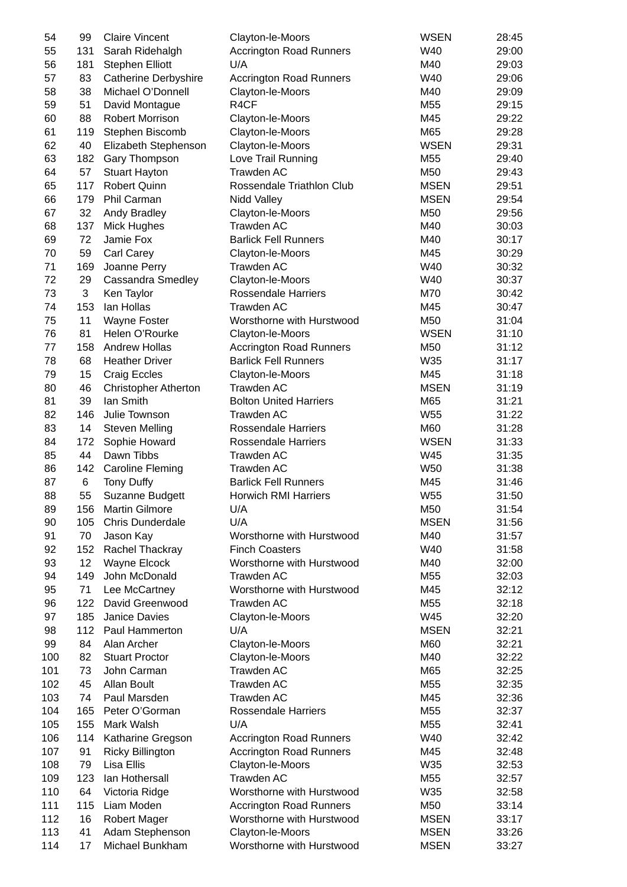| 54  | 99  | <b>Claire Vincent</b>       | Clayton-le-Moors               | <b>WSEN</b> | 28:45 |
|-----|-----|-----------------------------|--------------------------------|-------------|-------|
| 55  | 131 | Sarah Ridehalgh             | <b>Accrington Road Runners</b> | W40         | 29:00 |
| 56  | 181 | <b>Stephen Elliott</b>      | U/A                            | M40         | 29:03 |
| 57  | 83  | <b>Catherine Derbyshire</b> | <b>Accrington Road Runners</b> | W40         | 29:06 |
| 58  | 38  | Michael O'Donnell           | Clayton-le-Moors               | M40         | 29:09 |
| 59  | 51  | David Montague              | R4CF                           | M55         | 29:15 |
| 60  | 88  | <b>Robert Morrison</b>      | Clayton-le-Moors               | M45         | 29:22 |
| 61  | 119 | Stephen Biscomb             | Clayton-le-Moors               | M65         | 29:28 |
| 62  | 40  | Elizabeth Stephenson        | Clayton-le-Moors               | <b>WSEN</b> | 29:31 |
| 63  | 182 | Gary Thompson               | Love Trail Running             | M55         | 29:40 |
| 64  | 57  | <b>Stuart Hayton</b>        | <b>Trawden AC</b>              | M50         | 29:43 |
| 65  | 117 | Robert Quinn                | Rossendale Triathlon Club      | <b>MSEN</b> | 29:51 |
| 66  | 179 | Phil Carman                 | Nidd Valley                    | <b>MSEN</b> | 29:54 |
| 67  | 32  | Andy Bradley                | Clayton-le-Moors               | M50         | 29:56 |
| 68  | 137 | Mick Hughes                 | Trawden AC                     | M40         | 30:03 |
| 69  | 72  | Jamie Fox                   | <b>Barlick Fell Runners</b>    | M40         | 30:17 |
|     | 59  |                             |                                | M45         |       |
| 70  |     | Carl Carey                  | Clayton-le-Moors               |             | 30:29 |
| 71  | 169 | Joanne Perry                | Trawden AC                     | W40         | 30:32 |
| 72  | 29  | Cassandra Smedley           | Clayton-le-Moors               | W40         | 30:37 |
| 73  | 3   | Ken Taylor                  | <b>Rossendale Harriers</b>     | M70         | 30:42 |
| 74  | 153 | Ian Hollas                  | Trawden AC                     | M45         | 30:47 |
| 75  | 11  | Wayne Foster                | Worsthorne with Hurstwood      | M50         | 31:04 |
| 76  | 81  | Helen O'Rourke              | Clayton-le-Moors               | <b>WSEN</b> | 31:10 |
| 77  | 158 | <b>Andrew Hollas</b>        | <b>Accrington Road Runners</b> | M50         | 31:12 |
| 78  | 68  | <b>Heather Driver</b>       | <b>Barlick Fell Runners</b>    | W35         | 31:17 |
| 79  | 15  | <b>Craig Eccles</b>         | Clayton-le-Moors               | M45         | 31:18 |
| 80  | 46  | <b>Christopher Atherton</b> | Trawden AC                     | <b>MSEN</b> | 31:19 |
| 81  | 39  | Ian Smith                   | <b>Bolton United Harriers</b>  | M65         | 31:21 |
| 82  | 146 | Julie Townson               | <b>Trawden AC</b>              | W55         | 31:22 |
| 83  | 14  | <b>Steven Melling</b>       | <b>Rossendale Harriers</b>     | M60         | 31:28 |
| 84  | 172 | Sophie Howard               | <b>Rossendale Harriers</b>     | <b>WSEN</b> | 31:33 |
| 85  | 44  | Dawn Tibbs                  | Trawden AC                     | W45         | 31:35 |
| 86  | 142 | <b>Caroline Fleming</b>     | <b>Trawden AC</b>              | <b>W50</b>  | 31:38 |
| 87  | 6   | Tony Duffy                  | <b>Barlick Fell Runners</b>    | M45         | 31:46 |
| 88  | 55  | Suzanne Budgett             | <b>Horwich RMI Harriers</b>    | W55         | 31:50 |
| 89  | 156 | <b>Martin Gilmore</b>       | U/A                            | M50         | 31:54 |
| 90  | 105 | Chris Dunderdale            | U/A                            | <b>MSEN</b> | 31:56 |
| 91  | 70  | Jason Kay                   | Worsthorne with Hurstwood      | M40         | 31:57 |
| 92  | 152 | Rachel Thackray             | <b>Finch Coasters</b>          | W40         | 31:58 |
| 93  | 12  | Wayne Elcock                | Worsthorne with Hurstwood      | M40         | 32:00 |
| 94  | 149 | John McDonald               | <b>Trawden AC</b>              | M55         | 32:03 |
| 95  | 71  | Lee McCartney               | Worsthorne with Hurstwood      | M45         | 32:12 |
| 96  | 122 | David Greenwood             | Trawden AC                     | M55         | 32:18 |
| 97  | 185 | Janice Davies               | Clayton-le-Moors               | W45         | 32:20 |
| 98  | 112 | Paul Hammerton              | U/A                            | <b>MSEN</b> | 32:21 |
| 99  |     | Alan Archer                 |                                | M60         |       |
|     | 84  |                             | Clayton-le-Moors               |             | 32:21 |
| 100 | 82  | <b>Stuart Proctor</b>       | Clayton-le-Moors               | M40         | 32:22 |
| 101 | 73  | John Carman                 | <b>Trawden AC</b>              | M65         | 32:25 |
| 102 | 45  | Allan Boult                 | <b>Trawden AC</b>              | M55         | 32:35 |
| 103 | 74  | Paul Marsden                | <b>Trawden AC</b>              | M45         | 32:36 |
| 104 | 165 | Peter O'Gorman              | <b>Rossendale Harriers</b>     | M55         | 32:37 |
| 105 | 155 | Mark Walsh                  | U/A                            | M55         | 32:41 |
| 106 | 114 | Katharine Gregson           | <b>Accrington Road Runners</b> | W40         | 32:42 |
| 107 | 91  | <b>Ricky Billington</b>     | <b>Accrington Road Runners</b> | M45         | 32:48 |
| 108 | 79  | Lisa Ellis                  | Clayton-le-Moors               | W35         | 32:53 |
| 109 | 123 | Ian Hothersall              | <b>Trawden AC</b>              | M55         | 32:57 |
| 110 | 64  | Victoria Ridge              | Worsthorne with Hurstwood      | W35         | 32:58 |
| 111 | 115 | Liam Moden                  | <b>Accrington Road Runners</b> | M50         | 33:14 |
| 112 | 16  | <b>Robert Mager</b>         | Worsthorne with Hurstwood      | <b>MSEN</b> | 33:17 |
| 113 | 41  | Adam Stephenson             | Clayton-le-Moors               | <b>MSEN</b> | 33:26 |
| 114 | 17  | Michael Bunkham             | Worsthorne with Hurstwood      | <b>MSEN</b> | 33:27 |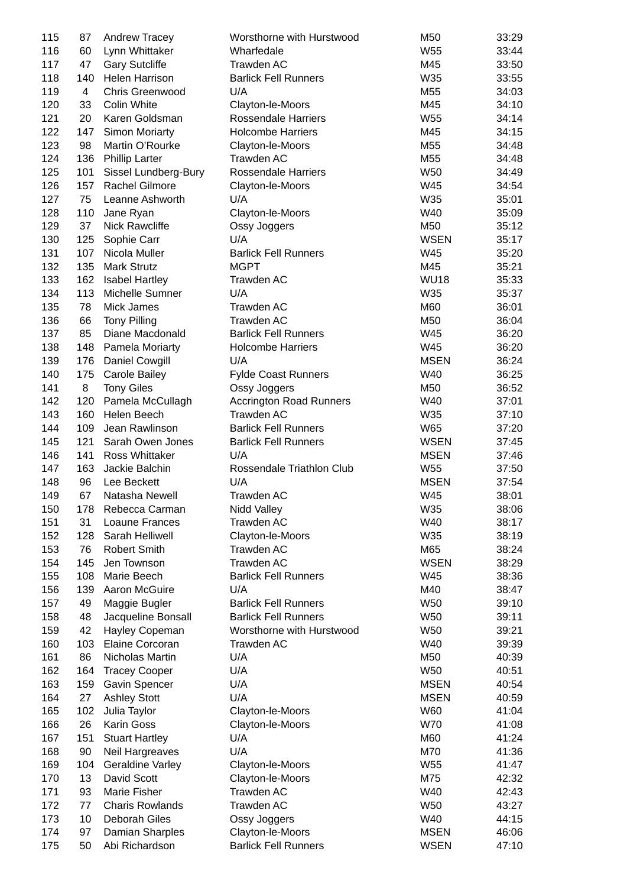| 115 | 87             | Andrew Tracey                            | Worsthorne with Hurstwood      | M50         | 33:29 |
|-----|----------------|------------------------------------------|--------------------------------|-------------|-------|
| 116 | 60             | Lynn Whittaker                           | Wharfedale                     | W55         | 33:44 |
| 117 | 47             | <b>Gary Sutcliffe</b>                    | Trawden AC                     | M45         | 33:50 |
| 118 | 140            | Helen Harrison                           | <b>Barlick Fell Runners</b>    | W35         | 33:55 |
| 119 | $\overline{4}$ | Chris Greenwood                          | U/A                            | M55         | 34:03 |
| 120 | 33             | Colin White                              | Clayton-le-Moors               | M45         | 34:10 |
| 121 | 20             | Karen Goldsman                           | <b>Rossendale Harriers</b>     | W55         | 34:14 |
| 122 | 147            | <b>Simon Moriarty</b>                    | <b>Holcombe Harriers</b>       | M45         | 34:15 |
| 123 | 98             | Martin O'Rourke                          | Clayton-le-Moors               | M55         | 34:48 |
| 124 | 136            | <b>Phillip Larter</b>                    | Trawden AC                     | M55         | 34:48 |
| 125 | 101            | Sissel Lundberg-Bury                     | <b>Rossendale Harriers</b>     | <b>W50</b>  | 34:49 |
| 126 | 157            | Rachel Gilmore                           | Clayton-le-Moors               | W45         | 34:54 |
| 127 | 75             | Leanne Ashworth                          | U/A                            | W35         | 35:01 |
| 128 | 110            | Jane Ryan                                | Clayton-le-Moors               | W40         | 35:09 |
| 129 | 37             | Nick Rawcliffe                           | Ossy Joggers                   | M50         | 35:12 |
| 130 | 125            | Sophie Carr                              | U/A                            | <b>WSEN</b> | 35:17 |
| 131 | 107            | Nicola Muller                            | <b>Barlick Fell Runners</b>    | W45         | 35:20 |
| 132 | 135            | <b>Mark Strutz</b>                       | <b>MGPT</b>                    | M45         | 35:21 |
|     |                |                                          |                                |             |       |
| 133 | 162            | <b>Isabel Hartley</b><br>Michelle Sumner | Trawden AC                     | <b>WU18</b> | 35:33 |
| 134 | 113            |                                          | U/A                            | W35         | 35:37 |
| 135 | 78             | Mick James                               | Trawden AC                     | M60         | 36:01 |
| 136 | 66             | <b>Tony Pilling</b>                      | Trawden AC                     | M50         | 36:04 |
| 137 | 85             | Diane Macdonald                          | <b>Barlick Fell Runners</b>    | W45         | 36:20 |
| 138 | 148            | Pamela Moriarty                          | <b>Holcombe Harriers</b>       | W45         | 36:20 |
| 139 | 176            | Daniel Cowgill                           | U/A                            | <b>MSEN</b> | 36:24 |
| 140 | 175            | <b>Carole Bailey</b>                     | <b>Fylde Coast Runners</b>     | W40         | 36:25 |
| 141 | 8              | <b>Tony Giles</b>                        | Ossy Joggers                   | M50         | 36:52 |
| 142 | 120            | Pamela McCullagh                         | <b>Accrington Road Runners</b> | W40         | 37:01 |
| 143 | 160            | Helen Beech                              | Trawden AC                     | W35         | 37:10 |
| 144 | 109            | Jean Rawlinson                           | <b>Barlick Fell Runners</b>    | W65         | 37:20 |
| 145 | 121            | Sarah Owen Jones                         | <b>Barlick Fell Runners</b>    | <b>WSEN</b> | 37:45 |
| 146 | 141            | <b>Ross Whittaker</b>                    | U/A                            | <b>MSEN</b> | 37:46 |
| 147 | 163            | Jackie Balchin                           | Rossendale Triathlon Club      | W55         | 37:50 |
| 148 | 96             | Lee Beckett                              | U/A                            | <b>MSEN</b> | 37:54 |
| 149 | 67             | Natasha Newell                           | <b>Trawden AC</b>              | W45         | 38:01 |
| 150 | 178            | Rebecca Carman                           | Nidd Valley                    | W35         | 38:06 |
| 151 | 31             | Loaune Frances                           | Trawden AC                     | W40         | 38:17 |
| 152 | 128            | Sarah Helliwell                          | Clayton-le-Moors               | W35         | 38:19 |
| 153 | 76             | <b>Robert Smith</b>                      | Trawden AC                     | M65         | 38:24 |
| 154 | 145            | Jen Townson                              | Trawden AC                     | <b>WSEN</b> | 38:29 |
| 155 | 108            | Marie Beech                              | <b>Barlick Fell Runners</b>    | W45         | 38:36 |
| 156 | 139            | Aaron McGuire                            | U/A                            | M40         | 38:47 |
| 157 | 49             | Maggie Bugler                            | <b>Barlick Fell Runners</b>    | W50         | 39:10 |
| 158 | 48             | Jacqueline Bonsall                       | <b>Barlick Fell Runners</b>    | <b>W50</b>  | 39:11 |
| 159 | 42             | Hayley Copeman                           | Worsthorne with Hurstwood      | W50         | 39:21 |
| 160 | 103            | Elaine Corcoran                          | Trawden AC                     | W40         | 39:39 |
| 161 | 86             | Nicholas Martin                          | U/A                            | M50         | 40:39 |
| 162 | 164            | <b>Tracey Cooper</b>                     | U/A                            | W50         | 40:51 |
| 163 | 159            | Gavin Spencer                            | U/A                            | <b>MSEN</b> | 40:54 |
| 164 | 27             | <b>Ashley Stott</b>                      | U/A                            | <b>MSEN</b> | 40:59 |
| 165 | 102            | Julia Taylor                             | Clayton-le-Moors               | W60         | 41:04 |
| 166 | 26             | <b>Karin Goss</b>                        | Clayton-le-Moors               | W70         | 41:08 |
| 167 | 151            | <b>Stuart Hartley</b>                    | U/A                            | M60         | 41:24 |
| 168 | 90             | Neil Hargreaves                          | U/A                            | M70         | 41:36 |
| 169 | 104            | <b>Geraldine Varley</b>                  | Clayton-le-Moors               | W55         | 41:47 |
| 170 | 13             | David Scott                              | Clayton-le-Moors               | M75         | 42:32 |
| 171 | 93             | Marie Fisher                             | Trawden AC                     | W40         | 42:43 |
| 172 | 77             | <b>Charis Rowlands</b>                   | Trawden AC                     | W50         | 43:27 |
| 173 | 10             | Deborah Giles                            |                                | W40         |       |
|     |                |                                          | Ossy Joggers                   |             | 44:15 |
| 174 | 97             | Damian Sharples                          | Clayton-le-Moors               | <b>MSEN</b> | 46:06 |
| 175 | 50             | Abi Richardson                           | <b>Barlick Fell Runners</b>    | <b>WSEN</b> | 47:10 |